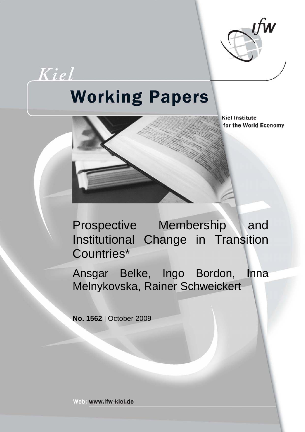

Kiel

# **Working Papers**

**Kiel Institute** for the World Economy

Prospective Membership and Institutional Change in Transition Countries\*

Ansgar Belke, Ingo Bordon, Inna Melnykovska, Rainer Schweickert

**No. 1562** | October 2009

Web: www.ifw-kiel.de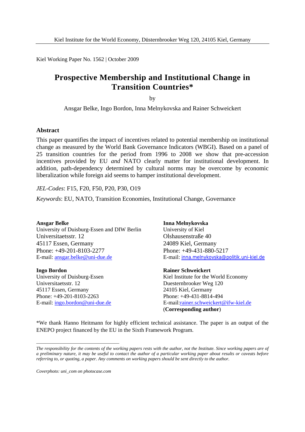Kiel Working Paper No. 1562 | October 2009

# **Prospective Membership and Institutional Change in Transition Countries\***

by

Ansgar Belke, Ingo Bordon, Inna Melnykovska and Rainer Schweickert

#### **Abstract**

This paper quantifies the impact of incentives related to potential membership on institutional change as measured by the World Bank Governance Indicators (WBGI). Based on a panel of 25 transition countries for the period from 1996 to 2008 we show that pre-accession incentives provided by EU *and* NATO clearly matter for institutional development. In addition, path-dependency determined by cultural norms may be overcome by economic liberalization while foreign aid seems to hamper institutional development.

*JEL-Codes*: F15, F20, F50, P20, P30, O19

*Keywords*: EU, NATO, Transition Economies, Institutional Change, Governance

University of Duisburg-Essen and DIW Berlin University of Kiel Universitaetsstr. 12 Olshausenstraße 40 45117 Essen, Germany 24089 Kiel, Germany Phone: +49-201-8103-2277 Phone: +49-431-880-5217 E-mail: ansgar.belke@uni-due.de E-mail: inna.melnykovska@politik.uni-kiel.de

Universitaetsstr. 12 Duesternbrooker Weg 120 45117 Essen, Germany 24105 Kiel, Germany Phone: +49-201-8103-2263<br>Phone: +49-431-8814-494

**Ansgar Belke Inna Melnykovska** 

**Ingo Bordon Rainer Schweickert**  University of Duisburg-Essen Kiel Institute for the World Economy E-mail: ingo.bordon@uni-due.de E-mail:rainer.schweickert@ifw-kiel.de (**Corresponding author**)

\*We thank Hanno Heitmann for highly efficient technical assistance. The paper is an output of the ENEPO project financed by the EU in the Sixth Framework Program.

*Coverphoto: uni\_com on photocase.com* 

\_\_\_\_\_\_\_\_\_\_\_\_\_\_\_\_\_\_\_\_\_\_\_\_\_\_\_\_\_\_\_\_\_\_\_\_

*The responsibility for the contents of the working papers rests with the author, not the Institute. Since working papers are of a preliminary nature, it may be useful to contact the author of a particular working paper about results or caveats before referring to, or quoting, a paper. Any comments on working papers should be sent directly to the author.*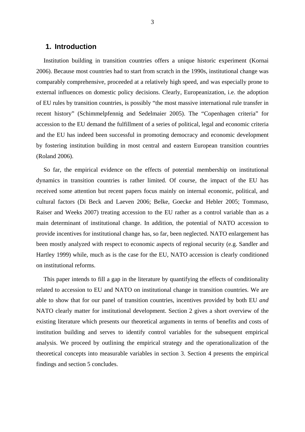# **1. Introduction**

Institution building in transition countries offers a unique historic experiment (Kornai 2006). Because most countries had to start from scratch in the 1990s, institutional change was comparably comprehensive, proceeded at a relatively high speed, and was especially prone to external influences on domestic policy decisions. Clearly, Europeanization, i.e. the adoption of EU rules by transition countries, is possibly "the most massive international rule transfer in recent history" (Schimmelpfennig and Sedelmaier 2005). The "Copenhagen criteria" for accession to the EU demand the fulfillment of a series of political, legal and economic criteria and the EU has indeed been successful in promoting democracy and economic development by fostering institution building in most central and eastern European transition countries (Roland 2006).

So far, the empirical evidence on the effects of potential membership on institutional dynamics in transition countries is rather limited. Of course, the impact of the EU has received some attention but recent papers focus mainly on internal economic, political, and cultural factors (Di Beck and Laeven 2006; Belke, Goecke and Hebler 2005; Tommaso, Raiser and Weeks 2007) treating accession to the EU rather as a control variable than as a main determinant of institutional change. In addition, the potential of NATO accession to provide incentives for institutional change has, so far, been neglected. NATO enlargement has been mostly analyzed with respect to economic aspects of regional security (e.g. Sandler and Hartley 1999) while, much as is the case for the EU, NATO accession is clearly conditioned on institutional reforms.

This paper intends to fill a gap in the literature by quantifying the effects of conditionality related to accession to EU and NATO on institutional change in transition countries. We are able to show that for our panel of transition countries, incentives provided by both EU *and* NATO clearly matter for institutional development. Section 2 gives a short overview of the existing literature which presents our theoretical arguments in terms of benefits and costs of institution building and serves to identify control variables for the subsequent empirical analysis. We proceed by outlining the empirical strategy and the operationalization of the theoretical concepts into measurable variables in section 3. Section 4 presents the empirical findings and section 5 concludes.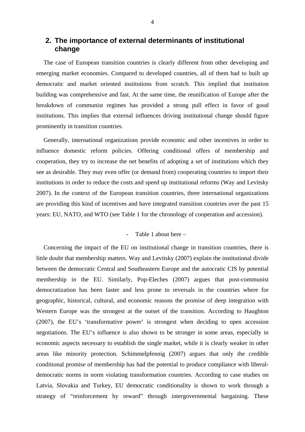# **2. The importance of external determinants of institutional change**

The case of European transition countries is clearly different from other developing and emerging market economies. Compared to developed countries, all of them had to built up democratic and market oriented institutions from scratch. This implied that institution building was comprehensive and fast. At the same time, the reunification of Europe after the breakdown of communist regimes has provided a strong pull effect in favor of good institutions. This implies that external influences driving institutional change should figure prominently in transition countries.

Generally, international organizations provide economic and other incentives in order to influence domestic reform policies. Offering conditional offers of membership and cooperation, they try to increase the net benefits of adopting a set of institutions which they see as desirable. They may even offer (or demand from) cooperating countries to import their institutions in order to reduce the costs and speed up institutional reforms (Way and Levitsky 2007). In the context of the European transition countries, three international organizations are providing this kind of incentives and have integrated transition countries over the past 15 years: EU, NATO, and WTO (see Table 1 for the chronology of cooperation and accession).

### - Table 1 about here –

Concerning the impact of the EU on institutional change in transition countries, there is little doubt that membership matters. Way and Levitsky (2007) explain the institutional divide between the democratic Central and Southeastern Europe and the autocratic CIS by potential membership in the EU. Similarly, Pop-Eleches (2007) argues that post-communist democratization has been faster and less prone to reversals in the countries where for geographic, historical, cultural, and economic reasons the promise of deep integration with Western Europe was the strongest at the outset of the transition. According to Haughton (2007), the EU's 'transformative power' is strongest when deciding to open accession negotiations. The EU's influence is also shown to be stronger in some areas, especially in economic aspects necessary to establish the single market, while it is clearly weaker in other areas like minority protection. Schimmelpfennig (2007) argues that only the credible conditional promise of membership has had the potential to produce compliance with liberaldemocratic norms in norm violating transformation countries. According to case studies on Latvia, Slovakia and Turkey, EU democratic conditionality is shown to work through a strategy of "reinforcement by reward" through intergovernmental bargaining. These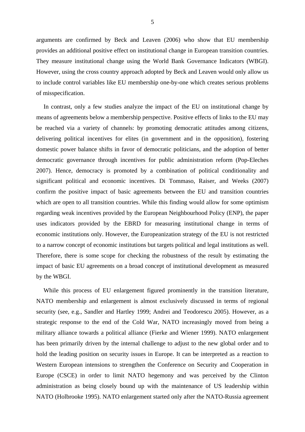arguments are confirmed by Beck and Leaven (2006) who show that EU membership provides an additional positive effect on institutional change in European transition countries. They measure institutional change using the World Bank Governance Indicators (WBGI). However, using the cross country approach adopted by Beck and Leaven would only allow us to include control variables like EU membership one-by-one which creates serious problems of misspecification.

In contrast, only a few studies analyze the impact of the EU on institutional change by means of agreements below a membership perspective. Positive effects of links to the EU may be reached via a variety of channels: by promoting democratic attitudes among citizens, delivering political incentives for elites (in government and in the opposition), fostering domestic power balance shifts in favor of democratic politicians, and the adoption of better democratic governance through incentives for public administration reform (Pop-Eleches 2007). Hence, democracy is promoted by a combination of political conditionality and significant political and economic incentives. Di Tommaso, Raiser, and Weeks (2007) confirm the positive impact of basic agreements between the EU and transition countries which are open to all transition countries. While this finding would allow for some optimism regarding weak incentives provided by the European Neighbourhood Policy (ENP), the paper uses indicators provided by the EBRD for measuring institutional change in terms of economic institutions only. However, the Europeanization strategy of the EU is not restricted to a narrow concept of economic institutions but targets political and legal institutions as well. Therefore, there is some scope for checking the robustness of the result by estimating the impact of basic EU agreements on a broad concept of institutional development as measured by the WBGI.

While this process of EU enlargement figured prominently in the transition literature, NATO membership and enlargement is almost exclusively discussed in terms of regional security (see, e.g., Sandler and Hartley 1999; Andrei and Teodorescu 2005). However, as a strategic response to the end of the Cold War, NATO increasingly moved from being a military alliance towards a political alliance (Fierke and Wiener 1999). NATO enlargement has been primarily driven by the internal challenge to adjust to the new global order and to hold the leading position on security issues in Europe. It can be interpreted as a reaction to Western European intensions to strengthen the Conference on Security and Cooperation in Europe (CSCE) in order to limit NATO hegemony and was perceived by the Clinton administration as being closely bound up with the maintenance of US leadership within NATO (Holbrooke 1995). NATO enlargement started only after the NATO-Russia agreement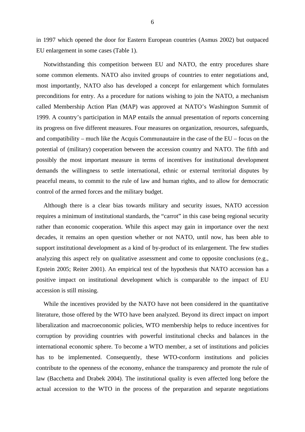in 1997 which opened the door for Eastern European countries (Asmus 2002) but outpaced EU enlargement in some cases (Table 1).

Notwithstanding this competition between EU and NATO, the entry procedures share some common elements. NATO also invited groups of countries to enter negotiations and, most importantly, NATO also has developed a concept for enlargement which formulates preconditions for entry. As a procedure for nations wishing to join the NATO, a mechanism called Membership Action Plan (MAP) was approved at NATO's Washington Summit of 1999. A country's participation in MAP entails the annual presentation of reports concerning its progress on five different measures. Four measures on organization, resources, safeguards, and compatibility – much like the Acquis Communautaire in the case of the EU – focus on the potential of (military) cooperation between the accession country and NATO. The fifth and possibly the most important measure in terms of incentives for institutional development demands the willingness to settle international, ethnic or external territorial disputes by peaceful means, to commit to the rule of law and human rights, and to allow for democratic control of the armed forces and the military budget.

Although there is a clear bias towards military and security issues, NATO accession requires a minimum of institutional standards, the "carrot" in this case being regional security rather than economic cooperation. While this aspect may gain in importance over the next decades, it remains an open question whether or not NATO, until now, has been able to support institutional development as a kind of by-product of its enlargement. The few studies analyzing this aspect rely on qualitative assessment and come to opposite conclusions (e.g., Epstein 2005; Reiter 2001). An empirical test of the hypothesis that NATO accession has a positive impact on institutional development which is comparable to the impact of EU accession is still missing.

While the incentives provided by the NATO have not been considered in the quantitative literature, those offered by the WTO have been analyzed. Beyond its direct impact on import liberalization and macroeconomic policies, WTO membership helps to reduce incentives for corruption by providing countries with powerful institutional checks and balances in the international economic sphere. To become a WTO member, a set of institutions and policies has to be implemented. Consequently, these WTO-conform institutions and policies contribute to the openness of the economy, enhance the transparency and promote the rule of law (Bacchetta and Drabek 2004). The institutional quality is even affected long before the actual accession to the WTO in the process of the preparation and separate negotiations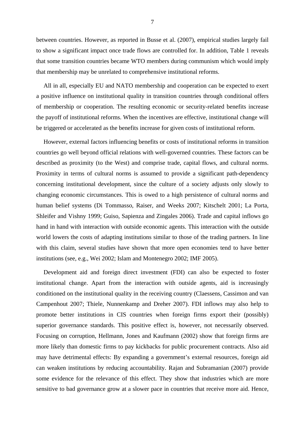between countries. However, as reported in Busse et al. (2007), empirical studies largely fail to show a significant impact once trade flows are controlled for. In addition, Table 1 reveals that some transition countries became WTO members during communism which would imply that membership may be unrelated to comprehensive institutional reforms.

All in all, especially EU and NATO membership and cooperation can be expected to exert a positive influence on institutional quality in transition countries through conditional offers of membership or cooperation. The resulting economic or security-related benefits increase the payoff of institutional reforms. When the incentives are effective, institutional change will be triggered or accelerated as the benefits increase for given costs of institutional reform.

However, external factors influencing benefits or costs of institutional reforms in transition countries go well beyond official relations with well-governed countries. These factors can be described as proximity (to the West) and comprise trade, capital flows, and cultural norms. Proximity in terms of cultural norms is assumed to provide a significant path-dependency concerning institutional development, since the culture of a society adjusts only slowly to changing economic circumstances. This is owed to a high persistence of cultural norms and human belief systems (Di Tommasso, Raiser, and Weeks 2007; Kitschelt 2001; La Porta, Shleifer and Vishny 1999; Guiso, Sapienza and Zingales 2006). Trade and capital inflows go hand in hand with interaction with outside economic agents. This interaction with the outside world lowers the costs of adapting institutions similar to those of the trading partners. In line with this claim, several studies have shown that more open economies tend to have better institutions (see, e.g., Wei 2002; Islam and Montenegro 2002; IMF 2005).

Development aid and foreign direct investment (FDI) can also be expected to foster institutional change. Apart from the interaction with outside agents, aid is increasingly conditioned on the institutional quality in the receiving country (Claessens, Cassimon and van Campenhout 2007; Thiele, Nunnenkamp and Dreher 2007). FDI inflows may also help to promote better institutions in CIS countries when foreign firms export their (possibly) superior governance standards. This positive effect is, however, not necessarily observed. Focusing on corruption, Hellmann, Jones and Kaufmann (2002) show that foreign firms are more likely than domestic firms to pay kickbacks for public procurement contracts. Also aid may have detrimental effects: By expanding a government's external resources, foreign aid can weaken institutions by reducing accountability. Rajan and Subramanian (2007) provide some evidence for the relevance of this effect. They show that industries which are more sensitive to bad governance grow at a slower pace in countries that receive more aid. Hence,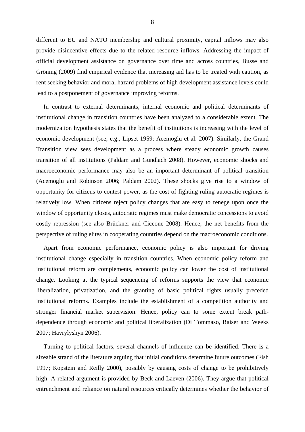different to EU and NATO membership and cultural proximity, capital inflows may also provide disincentive effects due to the related resource inflows. Addressing the impact of official development assistance on governance over time and across countries, Busse and Gröning (2009) find empirical evidence that increasing aid has to be treated with caution, as rent seeking behavior and moral hazard problems of high development assistance levels could lead to a postponement of governance improving reforms.

In contrast to external determinants, internal economic and political determinants of institutional change in transition countries have been analyzed to a considerable extent. The modernization hypothesis states that the benefit of institutions is increasing with the level of economic development (see, e.g., Lipset 1959; Acemoglu et al. 2007). Similarly, the Grand Transition view sees development as a process where steady economic growth causes transition of all institutions (Paldam and Gundlach 2008). However, economic shocks and macroeconomic performance may also be an important determinant of political transition (Acemoglu and Robinson 2006; Paldam 2002). These shocks give rise to a window of opportunity for citizens to contest power, as the cost of fighting ruling autocratic regimes is relatively low. When citizens reject policy changes that are easy to renege upon once the window of opportunity closes, autocratic regimes must make democratic concessions to avoid costly repression (see also Brückner and Ciccone 2008). Hence, the net benefits from the perspective of ruling elites in cooperating countries depend on the macroeconomic conditions.

Apart from economic performance, economic policy is also important for driving institutional change especially in transition countries. When economic policy reform and institutional reform are complements, economic policy can lower the cost of institutional change. Looking at the typical sequencing of reforms supports the view that economic liberalization, privatization, and the granting of basic political rights usually preceded institutional reforms. Examples include the establishment of a competition authority and stronger financial market supervision. Hence, policy can to some extent break pathdependence through economic and political liberalization (Di Tommaso, Raiser and Weeks 2007; Havrylyshyn 2006).

Turning to political factors, several channels of influence can be identified. There is a sizeable strand of the literature arguing that initial conditions determine future outcomes (Fish 1997; Kopstein and Reilly 2000), possibly by causing costs of change to be prohibitively high. A related argument is provided by Beck and Laeven (2006). They argue that political entrenchment and reliance on natural resources critically determines whether the behavior of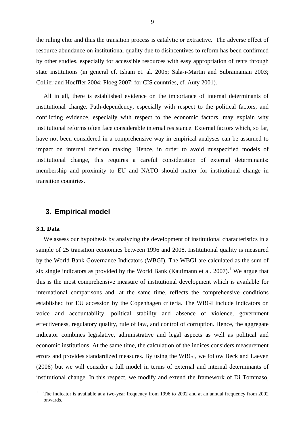the ruling elite and thus the transition process is catalytic or extractive. The adverse effect of resource abundance on institutional quality due to disincentives to reform has been confirmed by other studies, especially for accessible resources with easy appropriation of rents through state institutions (in general cf. Isham et. al. 2005; Sala-i-Martin and Subramanian 2003; Collier and Hoeffler 2004; Ploeg 2007; for CIS countries, cf. Auty 2001).

All in all, there is established evidence on the importance of internal determinants of institutional change. Path-dependency, especially with respect to the political factors, and conflicting evidence, especially with respect to the economic factors, may explain why institutional reforms often face considerable internal resistance. External factors which, so far, have not been considered in a comprehensive way in empirical analyses can be assumed to impact on internal decision making. Hence, in order to avoid misspecified models of institutional change, this requires a careful consideration of external determinants: membership and proximity to EU and NATO should matter for institutional change in transition countries.

## **3. Empirical model**

#### **3.1. Data**

1

We assess our hypothesis by analyzing the development of institutional characteristics in a sample of 25 transition economies between 1996 and 2008. Institutional quality is measured by the World Bank Governance Indicators (WBGI). The WBGI are calculated as the sum of six single indicators as provided by the World Bank (Kaufmann et al.  $2007$ ).<sup>1</sup> We argue that this is the most comprehensive measure of institutional development which is available for international comparisons and, at the same time, reflects the comprehensive conditions established for EU accession by the Copenhagen criteria. The WBGI include indicators on voice and accountability, political stability and absence of violence, government effectiveness, regulatory quality, rule of law, and control of corruption. Hence, the aggregate indicator combines legislative, administrative and legal aspects as well as political and economic institutions. At the same time, the calculation of the indices considers measurement errors and provides standardized measures. By using the WBGI, we follow Beck and Laeven (2006) but we will consider a full model in terms of external and internal determinants of institutional change. In this respect, we modify and extend the framework of Di Tommaso,

<sup>1</sup> The indicator is available at a two-year frequency from 1996 to 2002 and at an annual frequency from 2002 onwards.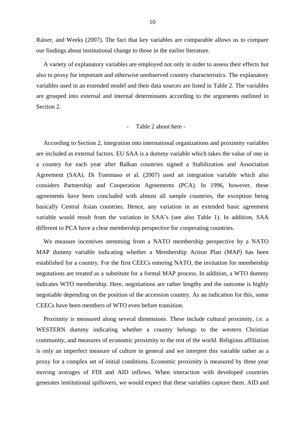Raiser, and Weeks (2007). The fact that key variables are comparable allows us to compare our findings about institutional change to those in the earlier literature.

A variety of explanatory variables are employed not only in order to assess their effects but also to proxy for important and otherwise unobserved country characteristics. The explanatory variables used in an extended model and their data sources are listed in Table 2. The variables are grouped into external and internal determinants according to the arguments outlined in Section 2.

#### Table 2 about here -

According to Section 2, integration into international organizations and proximity variables are included as external factors. EU SAA is a dummy variable which takes the value of one in a country for each year after Balkan countries signed a Stabilization and Association Agreement (SAA). Di Tommaso et al. (2007) used an integration variable which also considers Partnership and Cooperation Agreements (PCA). In 1996, however, these agreements have been concluded with almost all sample countries, the exception being basically Central Asian countries. Hence, any variation in an extended basic agreement variable would result from the variation in SAA's (see also Table 1). In addition, SAA different to PCA have a clear membership perspective for cooperating countries.

We measure incentives stemming from a NATO membership perspective by a NATO MAP dummy variable indicating whether a Membership Action Plan (MAP) has been established for a country. For the first CEECs entering NATO, the invitation for membership negotations are treated as a substitute for a formal MAP process. In addition, a WTO dummy indicates WTO membership. Here, negotiations are rather lengthy and the outcome is highly negotiable depending on the position of the accession country. As an indication for this, some CEECs have been members of WTO even before transition.

Proximity is measured along several dimensions. These include cultural proximity, i.e. a WESTERN dummy indicating whether a country belongs to the western Christian community, and measures of economic proximity to the rest of the world. Religious affiliation is only an imperfect measure of culture in general and we interpret this variable rather as a proxy for a complex set of initial conditions. Economic proximity is measured by three year moving averages of FDI and AID inflows. When interaction with developed countries generates institutional spillovers, we would expect that these variables capture them. AID and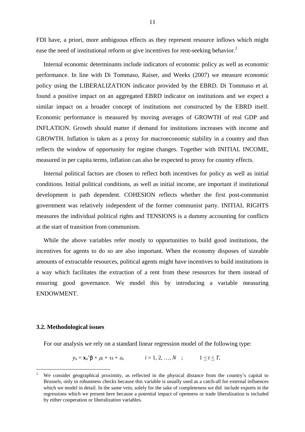FDI have, a priori, more ambiguous effects as they represent resource inflows which might ease the need of institutional reform or give incentives for rent-seeking behavior.<sup>2</sup>

Internal economic determinants include indicators of economic policy as well as economic performance. In line with Di Tommaso, Raiser, and Weeks (2007) we measure economic policy using the LIBERALIZATION indicator provided by the EBRD. Di Tommaso et al. found a positive impact on an aggregated EBRD indicator on institutions and we expect a similar impact on a broader concept of institutions not constructed by the EBRD itself. Economic performance is measured by moving averages of GROWTH of real GDP and INFLATION. Growth should matter if demand for institutions increases with income and GROWTH. Inflation is taken as a proxy for macroeconomic stability in a country and thus reflects the window of opportunity for regime changes. Together with INITIAL INCOME, measured in per capita terms, inflation can also be expected to proxy for country effects.

Internal political factors are chosen to reflect both incentives for policy as well as initial conditions. Initial political conditions, as well as initial income, are important if institutional development is path dependent. COHESION reflects whether the first post-communist government was relatively independent of the former communist party. INITIAL RIGHTS measures the individual political rights and TENSIONS is a dummy accounting for conflicts at the start of transition from communism.

While the above variables refer mostly to opportunities to build good institutions, the incentives for agents to do so are also important. When the economy disposes of sizeable amounts of extractable resources, political agents might have incentives to build institutions in a way which facilitates the extraction of a rent from these resources for them instead of ensuring good governance. We model this by introducing a variable measuring ENDOWMENT.

#### **3.2. Methodological issues**

1

For our analysis we rely on a standard linear regression model of the following type:

$$
y_{it} = \mathbf{x}_{it}^{\mathsf{\cdot}} \boldsymbol{\beta} + \mu_i + \nu_i + \varepsilon_{it} \qquad i = 1, 2, ..., N \quad ; \qquad 1 \leq t \leq T,
$$

<sup>2</sup> We consider geographical proximity, as reflected in the physical distance from the country's capital to Brussels, only in robustness checks because this variable is usually used as a catch-all for external influences which we model in detail. In the same vein, solely for the sake of completeness we did include exports in the regressions which we present here because a potential impact of openness or trade liberalization is included by either cooperation or liberalization variables.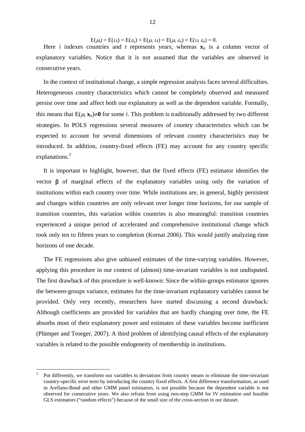$E(\mu_i) = E(\nu_i) = E(\varepsilon_{i} = E(\mu_i \nu_i) = E(\mu_i \varepsilon_{i}) = E(\nu_i \varepsilon_{i}) = 0.$ 

Here *i* indexes countries and *t* represents years, whereas  $\mathbf{x}_{it}$  is a column vector of explanatory variables. Notice that it is not assumed that the variables are observed in consecutive years.

In the context of institutional change, a simple regression analysis faces several difficulties. Heterogeneous country characteristics which cannot be completely observed and measured persist over time and affect both our explanatory as well as the dependent variable. Formally, this means that  $E(\mu_i \mathbf{x}_{it}) \neq 0$  for some *i*. This problem is traditionally addressed by two different strategies. In POLS regressions several measures of country characteristics which can be expected to account for several dimensions of relevant country characteristics may be introduced. In addition, country-fixed effects (FE) may account for any country specific explanations.<sup>3</sup>

It is important to highlight, however, that the fixed effects (FE) estimator identifies the vector  $β$  of marginal effects of the explanatory variables using only the variation of institutions within each country over time. While institutions are, in general, highly persistent and changes within countries are only relevant over longer time horizons, for our sample of transition countries, this variation within countries is also meaningful: transition countries experienced a unique period of accelerated and comprehensive institutional change which took only ten to fifteen years to completion (Kornai 2006). This would justify analyzing time horizons of one decade.

The FE regressions also give unbiased estimates of the time-varying variables. However, applying this procedure in our context of (almost) time-invariant variables is not undisputed. The first drawback of this procedure is well-known: Since the within-groups estimator ignores the between-groups variance, estimates for the time-invariant explanatory variables cannot be provided. Only very recently, researchers have started discussing a second drawback: Although coefficients are provided for variables that are hardly changing over time, the FE absorbs most of their explanatory power and estimates of these variables become inefficient (Plümper and Troeger, 2007). A third problem of identifying causal effects of the explanatory variables is related to the possible endogeneity of membership in institutions.

1

<sup>3</sup> Put differently, we transform our variables to deviations from country means to eliminate the time-invariant country-specific error term by introducing the country fixed effects. A first difference transformation, as used in Arellano-Bond and other GMM panel estimators, is not possible because the dependent variable is not observed for consecutive years. We also refrain from using two-step GMM for IV estimation and feasible GLS estimators ("random effects") because of the small size of the cross-section in our dataset.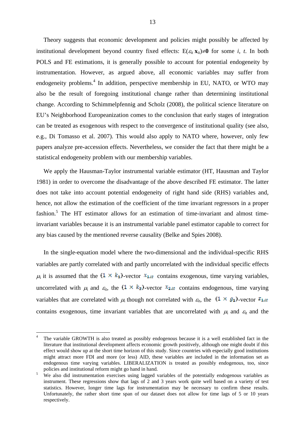Theory suggests that economic development and policies might possibly be affected by institutional development beyond country fixed effects:  $E(\varepsilon_i \mathbf{x}_{it}) \neq \mathbf{0}$  for some *i*, *t*. In both POLS and FE estimations, it is generally possible to account for potential endogeneity by instrumentation. However, as argued above, all economic variables may suffer from endogeneity problems.<sup>4</sup> In addition, perspective membership in EU, NATO, or WTO may also be the result of foregoing institutional change rather than determining institutional change. According to Schimmelpfennig and Scholz (2008), the political science literature on EU's Neighborhood Europeanization comes to the conclusion that early stages of integration can be treated as exogenous with respect to the convergence of institutional quality (see also, e.g., Di Tomasso et al. 2007). This would also apply to NATO where, however, only few papers analyze pre-accession effects. Nevertheless, we consider the fact that there might be a statistical endogeneity problem with our membership variables.

We apply the Hausman-Taylor instrumental variable estimator (HT, Hausman and Taylor 1981) in order to overcome the disadvantage of the above described FE estimator. The latter does not take into account potential endogeneity of right hand side (RHS) variables and, hence, not allow the estimation of the coefficient of the time invariant regressors in a proper fashion.<sup>5</sup> The HT estimator allows for an estimation of time-invariant and almost timeinvariant variables because it is an instrumental variable panel estimator capable to correct for any bias caused by the mentioned reverse causality (Belke and Spies 2008).

In the single-equation model where the two-dimensional and the individual-specific RHS variables are partly correlated with and partly uncorrelated with the individual specific effects  $\mu_i$  it is assumed that the  $(1 \times k_1)$ -vector  $x_{1,1}$  contains exogenous, time varying variables, uncorrelated with  $\mu_i$  and  $\varepsilon_{it}$ , the  $(1 \times k_2)$ -vector  $x_{2,it}$  contains endogenous, time varying variables that are correlated with  $\mu_i$  though not correlated with  $\varepsilon_i$ , the  $(1 \times g_1)$ -vector  $z_{1, it}$ contains exogenous, time invariant variables that are uncorrelated with  $\mu_i$  and  $\varepsilon_i$  and the

1

<sup>4</sup> The variable GROWTH is also treated as possibly endogenous because it is a well established fact in the literature that institutional development affects economic growth positively, although one might doubt if this effect would show up at the short time horizon of this study. Since countries with especially good institutions might attract more FDI and more (or less) AID, these variables are included in the information set as endogenous time varying variables. LIBERALIZATION is treated as possibly endogenous, too, since policies and institutional reform might go hand in hand. 5

We also did instrumentation exercises using lagged variables of the potentially endogenous variables as instrument. These regressions show that lags of 2 and 3 years work quite well based on a variety of test statistics. However, longer time lags for instrumentation may be necessary to confirm these results. Unfortunately, the rather short time span of our dataset does not allow for time lags of 5 or 10 years respectively.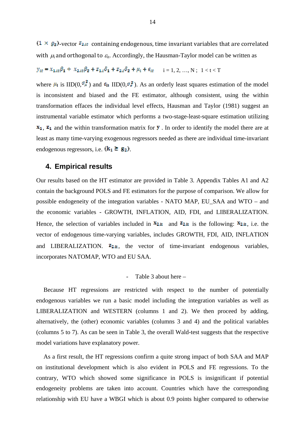$(1 \times g_2)$ -vector  $z_{2,4t}$  containing endogenous, time invariant variables that are correlated with  $\mu_i$  and orthogonal to  $\varepsilon_i$ . Accordingly, the Hausman-Taylor model can be written as

$$
y_{it} = x_{1, it} \beta_1 + x_{2, it} \beta_2 + z_{1, i} \delta_1 + z_{2, i} \delta_2 + \mu_i + \epsilon_{it} \qquad i = 1, 2, ..., N; \quad 1 < t < T
$$

where  $\mu_1$  is IID(0, $\sigma_{\mu}^2$ ) and  $\epsilon_{\text{lt}}$  IID(0, $\sigma_{\epsilon}^2$ ). As an orderly least squares estimation of the model is inconsistent and biased and the FE estimator, although consistent, using the within transformation effaces the individual level effects, Hausman and Taylor (1981) suggest an instrumental variable estimator which performs a two-stage-least-square estimation utilizing  $x_1$ ,  $z_1$  and the within transformation matrix for  $\overline{y}$ . In order to identify the model there are at least as many time-varying exogenous regressors needed as there are individual time-invariant endogenous regressors, i.e.  $(k_1 \geq g_2)$ .

# **4. Empirical results**

Our results based on the HT estimator are provided in Table 3. Appendix Tables A1 and A2 contain the background POLS and FE estimators for the purpose of comparison. We allow for possible endogeneity of the integration variables - NATO MAP, EU\_SAA and WTO – and the economic variables - GROWTH, INFLATION, AID, FDI, and LIBERALIZATION. Hence, the selection of variables included in  $x_{2,tt}$  and  $z_{2,tt}$  is the following:  $x_{2,tt}$ , i.e. the vector of endogenous time-varying variables, includes GROWTH, FDI, AID, INFLATION and LIBERALIZATION.  $z_{2,t}$ , the vector of time-invariant endogenous variables, incorporates NATOMAP, WTO and EU SAA.

#### Table 3 about here  $-$

Because HT regressions are restricted with respect to the number of potentially endogenous variables we run a basic model including the integration variables as well as LIBERALIZATION and WESTERN (columns 1 and 2). We then proceed by adding, alternatively, the (other) economic variables (columns 3 and 4) and the political variables (columns 5 to 7). As can be seen in Table 3, the overall Wald-test suggests that the respective model variations have explanatory power.

As a first result, the HT regressions confirm a quite strong impact of both SAA and MAP on institutional development which is also evident in POLS and FE regressions. To the contrary, WTO which showed some significance in POLS is insignificant if potential endogeneity problems are taken into account. Countries which have the corresponding relationship with EU have a WBGI which is about 0.9 points higher compared to otherwise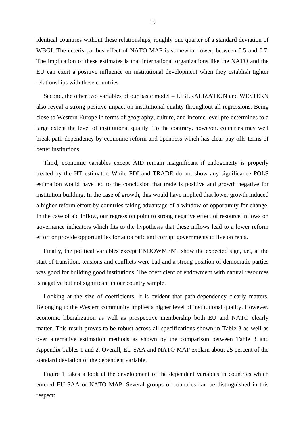identical countries without these relationships, roughly one quarter of a standard deviation of WBGI. The ceteris paribus effect of NATO MAP is somewhat lower, between 0.5 and 0.7. The implication of these estimates is that international organizations like the NATO and the EU can exert a positive influence on institutional development when they establish tighter relationships with these countries.

Second, the other two variables of our basic model – LIBERALIZATION and WESTERN also reveal a strong positive impact on institutional quality throughout all regressions. Being close to Western Europe in terms of geography, culture, and income level pre-determines to a large extent the level of institutional quality. To the contrary, however, countries may well break path-dependency by economic reform and openness which has clear pay-offs terms of better institutions.

Third, economic variables except AID remain insignificant if endogeneity is properly treated by the HT estimator. While FDI and TRADE do not show any significance POLS estimation would have led to the conclusion that trade is positive and growth negative for institution building. In the case of growth, this would have implied that lower growth induced a higher reform effort by countries taking advantage of a window of opportunity for change. In the case of aid inflow, our regression point to strong negative effect of resource inflows on governance indicators which fits to the hypothesis that these inflows lead to a lower reform effort or provide opportunities for autocratic and corrupt governments to live on rents.

Finally, the political variables except ENDOWMENT show the expected sign, i.e., at the start of transition, tensions and conflicts were bad and a strong position of democratic parties was good for building good institutions. The coefficient of endowment with natural resources is negative but not significant in our country sample.

Looking at the size of coefficients, it is evident that path-dependency clearly matters. Belonging to the Western community implies a higher level of institutional quality. However, economic liberalization as well as prospective membership both EU and NATO clearly matter. This result proves to be robust across all specifications shown in Table 3 as well as over alternative estimation methods as shown by the comparison between Table 3 and Appendix Tables 1 and 2. Overall, EU SAA and NATO MAP explain about 25 percent of the standard deviation of the dependent variable.

Figure 1 takes a look at the development of the dependent variables in countries which entered EU SAA or NATO MAP. Several groups of countries can be distinguished in this respect: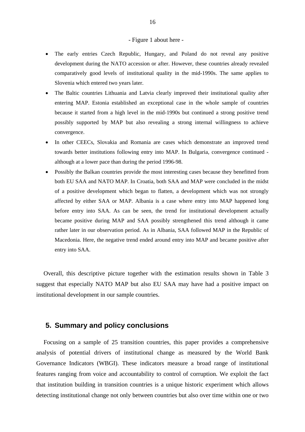#### - Figure 1 about here -

- The early entries Czech Republic, Hungary, and Poland do not reveal any positive development during the NATO accession or after. However, these countries already revealed comparatively good levels of institutional quality in the mid-1990s. The same applies to Slovenia which entered two years later.
- The Baltic countries Lithuania and Latvia clearly improved their institutional quality after entering MAP. Estonia established an exceptional case in the whole sample of countries because it started from a high level in the mid-1990s but continued a strong positive trend possibly supported by MAP but also revealing a strong internal willingness to achieve convergence.
- In other CEECs, Slovakia and Romania are cases which demonstrate an improved trend towards better institutions following entry into MAP. In Bulgaria, convergence continued although at a lower pace than during the period 1996-98.
- Possibly the Balkan countries provide the most interesting cases because they benefitted from both EU SAA and NATO MAP. In Croatia, both SAA and MAP were concluded in the midst of a positive development which began to flatten, a development which was not strongly affected by either SAA or MAP. Albania is a case where entry into MAP happened long before entry into SAA. As can be seen, the trend for institutional development actually became positive during MAP and SAA possibly strengthened this trend although it came rather later in our observation period. As in Albania, SAA followed MAP in the Republic of Macedonia. Here, the negative trend ended around entry into MAP and became positive after entry into SAA.

Overall, this descriptive picture together with the estimation results shown in Table 3 suggest that especially NATO MAP but also EU SAA may have had a positive impact on institutional development in our sample countries.

# **5. Summary and policy conclusions**

Focusing on a sample of 25 transition countries, this paper provides a comprehensive analysis of potential drivers of institutional change as measured by the World Bank Governance Indicators (WBGI). These indicators measure a broad range of institutional features ranging from voice and accountability to control of corruption. We exploit the fact that institution building in transition countries is a unique historic experiment which allows detecting institutional change not only between countries but also over time within one or two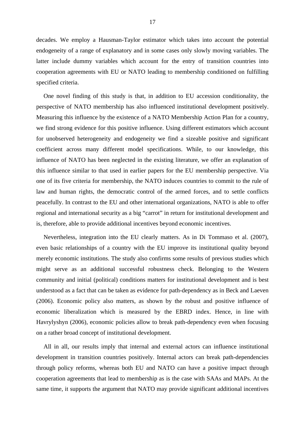decades. We employ a Hausman-Taylor estimator which takes into account the potential endogeneity of a range of explanatory and in some cases only slowly moving variables. The latter include dummy variables which account for the entry of transition countries into cooperation agreements with EU or NATO leading to membership conditioned on fulfilling specified criteria.

One novel finding of this study is that, in addition to EU accession conditionality, the perspective of NATO membership has also influenced institutional development positively. Measuring this influence by the existence of a NATO Membership Action Plan for a country, we find strong evidence for this positive influence. Using different estimators which account for unobserved heterogeneity and endogeneity we find a sizeable positive and significant coefficient across many different model specifications. While, to our knowledge, this influence of NATO has been neglected in the existing literature, we offer an explanation of this influence similar to that used in earlier papers for the EU membership perspective. Via one of its five criteria for membership, the NATO induces countries to commit to the rule of law and human rights, the democratic control of the armed forces, and to settle conflicts peacefully. In contrast to the EU and other international organizations, NATO is able to offer regional and international security as a big "carrot" in return for institutional development and is, therefore, able to provide additional incentives beyond economic incentives.

Nevertheless, integration into the EU clearly matters. As in Di Tommaso et al. (2007), even basic relationships of a country with the EU improve its institutional quality beyond merely economic institutions. The study also confirms some results of previous studies which might serve as an additional successful robustness check. Belonging to the Western community and initial (political) conditions matters for institutional development and is best understood as a fact that can be taken as evidence for path-dependency as in Beck and Laeven (2006). Economic policy also matters, as shown by the robust and positive influence of economic liberalization which is measured by the EBRD index. Hence, in line with Havrylyshyn (2006), economic policies allow to break path-dependency even when focusing on a rather broad concept of institutional development.

All in all, our results imply that internal and external actors can influence institutional development in transition countries positively. Internal actors can break path-dependencies through policy reforms, whereas both EU and NATO can have a positive impact through cooperation agreements that lead to membership as is the case with SAAs and MAPs. At the same time, it supports the argument that NATO may provide significant additional incentives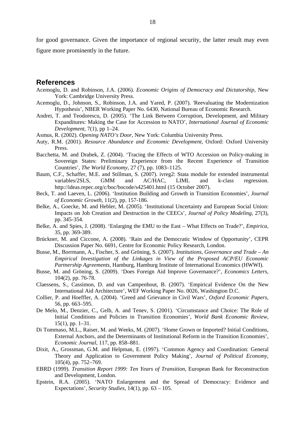for good governance. Given the importance of regional security, the latter result may even figure more prominently in the future.

### **References**

- Acemoglu, D. and Robinson, J.A. (2006). *Economic Origins of Democracy and Dictatorship*, New York: Cambridge University Press.
- Acemoglu, D., Johnson, S., Robinson, J.A. and Yared, P. (2007). 'Reevaluating the Modernization Hypothesis', NBER Working Paper No. 6430, National Bureau of Economic Research.
- Andrei, T. and Teodorescu, D. (2005). 'The Link Between Corruption, Development, and Military Expanditures: Making the Case for Accession to NATO', *International Journal of Economic Development*, 7(1), pp 1–24.
- Asmus, R. (2002). *Opening NATO's Door*, New York: Columbia University Press.
- Auty, R.M. (2001). *Resource Abundance and Economic Development*, Oxford: Oxford University Press.
- Bacchetta, M. and Drabek, Z. (2004). 'Tracing the Effects of WTO Accession on Policy-making in Sovereign States: Preliminary Experience from the Recent Experience of Transition Countries', *The World Economy*, 27 (7), pp. 1083–1125.
- Baum, C.F., Schaffer, M.E. and Stillman, S. (2007). ivreg2: Stata module for extended instrumental variables/2SLS, GMM and AC/HAC, LIML and k-class regression. http://ideas.repec.org/c/boc/bocode/s425401.html (15 October 2007).
- Beck, T. and Laeven, L. (2006). 'Institution Building and Growth in Transition Economies', *Journal of Economic Growth*, 11(2), pp. 157-186.
- Belke, A., Goecke, M. and Hebler, M. (2005). 'Institutional Uncertainty and European Social Union: Impacts on Job Creation and Destruction in the CEECs', *Journal of Policy Modeling*, 27(3), pp. 345-354.
- Belke, A. and Spies, J. (2008). 'Enlarging the EMU to the East What Effects on Trade?', *Empirica*, 35, pp. 369-389.
- Brückner, M. and Ciccone, A. (2008). 'Rain and the Democratic Window of Opportunity', CEPR Discussion Paper No. 6691, Centre for Economic Policy Research, London.
- Busse, M., Borrmann, A., Fischer, S. and Gröning, S. (2007). *Institutions, Governance and Trade An Empirical Investigation of the Linkages in View of the Proposed ACP/EU Economic Partnership Agreements*, Hamburg, Hamburg Institute of International Economics (HWWI).
- Busse, M. and Gröning, S. (2009). 'Does Foreign Aid Improve Governance?', *Economics Letters*, 104(2), pp. 76-78.
- Claessens, S., Cassimon, D. and van Campenhout, B. (2007). 'Empirical Evidence On the New International Aid Architecture', WEF Working Paper No. 0026, Washington D.C.
- Collier, P. and Hoeffler, A. (2004). 'Greed and Grievance in Civil Wars', *Oxford Economic Papers*, 56, pp. 663–595.
- De Melo, M., Denzier, C., Gelb, A. and Tenev, S. (2001). 'Circumstance and Choice: The Role of Initial Conditions and Policies in Transition Economies', *World Bank Economic Review*, 15(1), pp. 1–31.
- Di Tommaso, M.L., Raiser, M. and Weeks, M. (2007). 'Home Grown or Imported? Initial Conditions, External Anchors, and the Determinants of Institutional Reform in the Transition Economies', *Economic Journal*, 117, pp. 858–881.
- Dixit, A., Grossman, G.M. and Helpman, E. (1997). 'Common Agency and Coordination: General Theory and Application to Government Policy Making', *Journal of Political Economy*, 105(4), pp. 752–769.
- EBRD (1999). *Transition Report 1999: Ten Years of Transition*, European Bank for Reconstruction and Development, London.
- Epstein, R.A. (2005). 'NATO Enlargement and the Spread of Democracy: Evidence and Expectations', *Security Studies*, 14(1), pp. 63 – 105.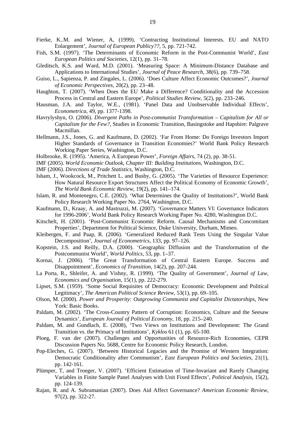- Fierke, K..M. and Wiener, A, (1999). 'Contracting Institutional Interests. EU and NATO Enlargement', *Journal of European Publicy??*, 5, pp. 721-742.
- Fish, S.M. (1997). 'The Determinants of Economic Reform in the Post-Communist World', *East European Politics and Societies*, 12(1), pp. 31–78.
- Gleditsch, K.S. and Ward, M.D. (2001). 'Measuring Space: A Minimum-Distance Database and Applications to International Studies', *Journal of Peace Research*, 38(6), pp. 739–758.
- Guiso, L., Sapienza, P. and Zingales, L. (2006). 'Does Culture Affect Economic Outcomes?', *Journal of Economic Perspectives*, 20(2), pp. 23–48.
- Haughton, T. (2007). 'When Does the EU Make a Difference? Conditionality and the Accession Process in Central and Eastern Europe', *Political Studies Review*, 5(2), pp. 233–246.
- Hausman, J.A. and Taylor, W.E., (1981). 'Panel Data and Unobservable Individual Effects', *Econometrica*, 49, pp. 1377-1398.
- Havrylyshyn, O. (2006). *Divergent Paths in Post-communist Transformation Capitalism for All or Capitalism for the Few?*, Studies in Economic Transition, Basingstoke and Hapshire: Palgrave Macmillan.
- Hellmann, J.S., Jones, G. and Kaufmann, D. (2002). 'Far From Home: Do Foreign Investors Import Higher Standards of Governance in Transition Economies?' World Bank Policy Research Working Paper Series, Washington, D.C.
- Holbrooke, R. (1995). 'America, A European Power', *Foreign Affairs*, 74 (2), pp. 38-51.
- IMF (2005). *World Economic Outlook*, *Chapter III: Building Institutions*, Washington, D.C.
- IMF (2006). *Directions of Trade Statistics*, Washington, D.C.
- Isham, J., Wookcock, M., Pritchett L. and Busby, G. (2005). 'The Varieties of Resource Experience: How Natural Resource Export Structures Affect the Political Economy of Economic Growth', *The World Bank Economic Review*, 19(2), pp. 141–174.
- Islam, R. and Montenegro, C.E. (2002). 'What Determines the Quality of Institutions?', World Bank Policy Research Working Paper No. 2764, Washington, D.C.
- Kaufmann, D., Kraay, A. and Mastruzzi, M. (2007). 'Governance Matters VI: Governance Indicators for 1996-2006', World Bank Policy Research Working Paper No. 4280, Washington D.C.
- Kitschelt, H. (2001). 'Post-Communist Economic Reform. Causal Mechanisms and Concomitant Properties', Department for Political Science, Duke University, Durham, Mimeo.
- Kleibergen, F. and Paap, R. (2006). 'Generalized Reduced Rank Tests Using the Singular Value Decomposition', *Journal of Econometrics*, 133, pp. 97–126.
- Kopstein, J.S. and Reilly, D.A. (2000). 'Geographic Diffusion and the Transformation of the Postcommunist World', *World Politics*, 53, pp. 1–37.
- Kornai, J. (2006). 'The Great Transformation of Central Eastern Europe. Success and Disappointment', *Economics of Transition*, 14(2), pp. 207-244.
- La Porta, R., Shleifer, A. and Vishny, R. (1999). 'The Quality of Government', *Journal of Law, Economics and Organisation*, 15(1), pp. 222-279.
- Lipset, S.M. (1959). 'Some Social Requisites of Democracy: Economic Development and Political Legitimacy', *The American Political Science Review*, 53(1), pp. 69–105.
- Olson, M. (2000). *Power and Prosperity: Outgrowing Communist and Capitalist Dictatorships*, New York: Basic Books.
- Paldam, M. (2002). 'The Cross-Country Pattern of Corruption: Economics, Culture and the Seesaw Dynamics', *European Journal of Political Economy*, 18, pp. 215–240.
- Paldam, M. and Gundlach, E. (2008), 'Two Views on Institutions and Development: The Grand Transition vs. the Primacy of Institutions', *Kyklos* 61 (1), pp. 65-100.
- Ploeg, F. van der (2007). Challenges and Opportunities of Resource-Rich Economies, CEPR Discussion Papers No. 5688, Centre for Economic Policy Research, London.
- Pop-Eleches, G. (2007). 'Between Historical Legacies and the Promise of Western Integration: Democratic Conditionality after Communism', *East European Politics and Societies*, 21(1), pp. 142-161.
- Plümper, T, and Troeger, V. (2007). 'Efficient Estimation of Time-Invariant and Rarely Changing Variables in Finite Sample Panel Analyses with Unit Fixed Effects', *Political Analysis*, 15(2), pp. 124-139.
- Rajan, R. and A. Subramanian (2007). Does Aid Affect Governance? *American Economic Review*, 97(2), pp. 322-27.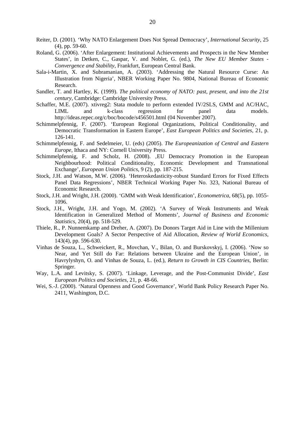- Reiter, D. (2001). 'Why NATO Enlargement Does Not Spread Democracy', *International Security*, 25 (4), pp. 59-60.
- Roland, G. (2006). 'After Enlargement: Institutional Achievements and Prospects in the New Member States', in Detken, C., Gaspar, V. and Noblet, G. (ed.), *The New EU Member States - Convergence and Stability*, Frankfurt, European Central Bank.
- Sala-i-Martin, X. and Subramanian, A. (2003). 'Addressing the Natural Resource Curse: An Illustration from Nigeria', NBER Working Paper No. 9804, National Bureau of Economic Research.
- Sandler, T. and Hartley, K. (1999). *The political economy of NATO: past, present, and into the 21st century*, Cambridge: Cambridge University Press.
- Schaffer, M.E. (2007). xtivreg2: Stata module to perform extended IV/2SLS, GMM and AC/HAC, LIML and k-class regression for panel data models. http://ideas.repec.org/c/boc/bocode/s456501.html (04 November 2007).
- Schimmelpfennig, F. (2007). 'European Regional Organizations, Political Conditionality, and Democratic Transformation in Eastern Europe', *East European Politics and Societies*, 21, p. 126-141.
- Schimmelpfennig, F. and Sedelmeier, U. (eds) (2005). *The Europeanization of Central and Eastern Europe*, Ithaca and NY: Cornell University Press.
- Schimmelpfennig, F. and Scholz, H. (2008). , EU Democracy Promotion in the European Neighbourhood: Political Conditionality, Economic Development and Transnational Exchange', *European Union Politics*, 9 (2), pp. 187-215.
- Stock, J.H. and Watson, M.W. (2006). 'Heteroskedasticity-robust Standard Errors for Fixed Effects Panel Data Regressions', NBER Technical Working Paper No. 323, National Bureau of Economic Research.
- Stock, J.H. and Wright, J.H. (2000). 'GMM with Weak Identification', *Econometrica*, 68(5), pp. 1055- 1096.
- Stock, J.H., Wright, J.H. and Yogo, M. (2002). 'A Survey of Weak Instruments and Weak Identification in Generalized Method of Moments', *Journal of Business and Economic Statistics*, 20(4), pp. 518-529.
- Thiele, R., P. Nunnemkamp and Dreher, A. (2007). Do Donors Target Aid in Line with the Millenium Development Goals? A Sector Perspective of Aid Allocation, *Review of World Economics*, 143(4), pp. 596-630.
- Vinhas de Souza, L., Schweickert, R., Movchan, V., Bilan, O. and Burskovskyj, I. (2006). 'Now so Near, and Yet Still do Far: Relations between Ukraine and the European Union', in Havrylyshyn, O. and Vinhas de Souza, L. (ed.), *Return to Growth in CIS Countries*, Berlin: Springer.
- Way, L.A. and Levitsky, S. (2007). 'Linkage, Leverage, and the Post-Communist Divide', *East European Politics and Societies*, 21, p. 48-66.
- Wei, S.-J. (2000). 'Natural Openness and Good Governance', World Bank Policy Research Paper No. 2411, Washington, D.C.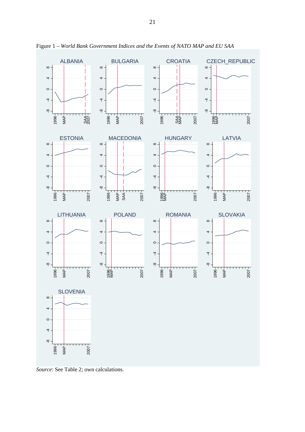

Figure 1 – *World Bank Government Indices and the Events of NATO MAP and EU SAA* 

*Source*: See Table 2; own calculations.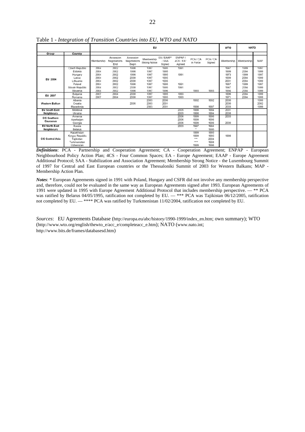|                                           |                                                                                                      |                                                              |                                                              |                                                              | EU                                                           |                                                              |                                     |                                  |                                      | <b>WTO</b>                                                   | <b>NATO</b>                                                  |                                                              |
|-------------------------------------------|------------------------------------------------------------------------------------------------------|--------------------------------------------------------------|--------------------------------------------------------------|--------------------------------------------------------------|--------------------------------------------------------------|--------------------------------------------------------------|-------------------------------------|----------------------------------|--------------------------------------|--------------------------------------------------------------|--------------------------------------------------------------|--------------------------------------------------------------|
| Group                                     | Country                                                                                              |                                                              |                                                              |                                                              |                                                              |                                                              |                                     |                                  |                                      |                                                              |                                                              |                                                              |
|                                           |                                                                                                      | Membership                                                   | Accession<br>Negotiations<br>End                             | Accession<br>Negotiations<br>Begin                           | Membership<br><b>Strong Notice</b>                           | EA / EAAP*<br>/ SAA<br>Signed                                | ENPAP /<br>$4CS$ / $EA^*$<br>Agreed | PCA/CA<br>in Force               | PCA/CA<br>Signed                     | Membership                                                   | Membership                                                   | MAP                                                          |
| EU 2004                                   | Czech Republic<br>Estonia<br>Hungary<br>Latvia<br>Lithuania<br>Poland<br>Slovak Republic<br>Slovenia | 2004<br>2004<br>2004<br>2004<br>2004<br>2004<br>2004<br>2004 | 2002<br>2002<br>2002<br>2002<br>2002<br>2002<br>2002<br>2002 | 1998<br>1998<br>1998<br>2000<br>2000<br>1998<br>2000<br>1998 | 1997<br>1997<br>1997<br>1997<br>1997<br>1997<br>1997<br>1997 | 1995<br>1995<br>1995<br>1995<br>1995<br>1995<br>1995<br>1996 | 1991<br>1991<br>1991<br>1991        | 1993                             | 1993                                 | 1947<br>1999<br>1973<br>1999<br>2001<br>1967<br>1947<br>1994 | 1999<br>2004<br>1999<br>2004<br>2004<br>1999<br>2004<br>2004 | 1997<br>1999<br>1997<br>1999<br>1999<br>1997<br>1999<br>1999 |
| EU 2007                                   | Bulgaria<br>Romania                                                                                  | 2007<br>2007                                                 | 2004<br>2004                                                 | 2000<br>2000                                                 | 1997<br>1997                                                 | 1995<br>1995                                                 | 1993<br>1993                        |                                  |                                      | 1996<br>1971                                                 | 2004<br>2004                                                 | 1999<br>1999                                                 |
| Western Balkan                            | Albania<br>Croatia<br>Macedonia                                                                      |                                                              |                                                              | 2005                                                         | 2003<br>2003<br>2003                                         | 2006<br>2001<br>2001                                         |                                     | 1992<br>1998                     | 1992<br>1997                         | 2000<br>2000<br>2003                                         |                                                              | 1999<br>2002<br>1999                                         |
| <b>EU South East</b><br>Neighbours        | Moldova<br>Ukraine                                                                                   |                                                              |                                                              |                                                              |                                                              |                                                              | 2005<br>2005                        | 1998<br>1998                     | 1994<br>1994                         | 2001<br>2008                                                 |                                                              |                                                              |
| <b>CIS Southern</b><br><b>Caucasus</b>    | Armenia<br>Azerbaijan<br>Georgia                                                                     |                                                              |                                                              |                                                              |                                                              |                                                              | 2006<br>2006<br>2006                | 1999<br>1999<br>1999             | 1996<br>1996<br>1996                 | 2003<br>2000                                                 |                                                              |                                                              |
| <b>EU North East</b><br><b>Neighbours</b> | Russia<br>Belarus                                                                                    |                                                              |                                                              |                                                              |                                                              |                                                              | 2003                                | 1997<br>$\ddot{\phantom{1}}$     | 1994<br>1995                         |                                                              |                                                              |                                                              |
| <b>CIS Central Asia</b>                   | Kazakhstan<br>Kyrgyz Republic<br>Tajikistan<br>Turkmenistan<br>Uzhekistan                            |                                                              |                                                              |                                                              |                                                              |                                                              |                                     | 1999<br>1999<br><br>****<br>1999 | 1995<br>1995<br>2004<br>1998<br>1996 | 1998                                                         |                                                              |                                                              |

Table 1 - *Integration of Transition Countries into EU, WTO and NATO*

*Definitions*: PCA - Partnership and Cooperation Agreement; CA - Cooperation Agreement; ENPAP - European Neighbourhood Policy Action Plan; 4CS - Four Common Spaces; EA - Europe Agreement; EAAP - Europe Agreement Additional Protocol; SAA - Stabilization and Association Agreement; Membership Strong Notice - the Luxembourg Summit of 1997 for Central and East European countries or the Thessaloniki Summit of 2003 for Western Balkans; MAP - Membership Action Plan.

*Notes*: \* European Agreements signed in 1991 with Poland, Hungary and CSFR did not involve any membership perspective and, therefore, could not be evaluated in the same way as European Agreements signed after 1993. European Agreements of 1991 were updated in 1995 with Europe Agreement Additional Protocol that includes membership perspective. — \*\* PCA was ratified by Belarus 04/05/1995, ratification not completed by EU. — \*\*\* PCA was Tajikistan 06/12/2005, ratification not completed by EU. — \*\*\*\* PCA was ratified by Turkmenistan 11/02/2004, ratification not completed by EU.

*Sources*: EU Agreements Database (http://europa.eu/abc/history/1990-1999/index\_en.htm; own summary); WTO (http://www.wto.org/english/thewto\_e/acc\_e/completeacc\_e.htm); NATO (www.nato.int; http://www.bits.de/frames/databasesd.htm)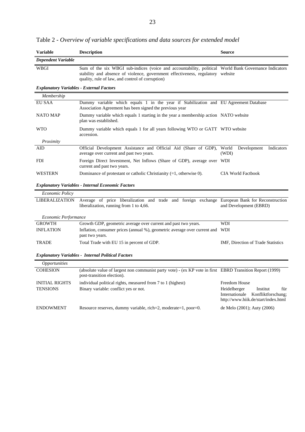| <b>Variable</b>                                 | <b>Description</b>                                                                                                                                                                                                                           | <b>Source</b>                               |  |  |  |
|-------------------------------------------------|----------------------------------------------------------------------------------------------------------------------------------------------------------------------------------------------------------------------------------------------|---------------------------------------------|--|--|--|
| <b>Dependent Variable</b>                       |                                                                                                                                                                                                                                              |                                             |  |  |  |
| <b>WBGI</b>                                     | Sum of the six WBGI sub-indices (voice and accountability, political World Bank Governance Indicators<br>stability and absence of violence, government effectiveness, regulatory website<br>quality, rule of law, and control of corruption) |                                             |  |  |  |
| <b>Explanatory Variables - External Factors</b> |                                                                                                                                                                                                                                              |                                             |  |  |  |
| Membership                                      |                                                                                                                                                                                                                                              |                                             |  |  |  |
| <b>EU SAA</b>                                   | Dummy variable which equals 1 in the year if Stabilization and EU Agreement Database<br>Association Agreement has been signed the previous year                                                                                              |                                             |  |  |  |
| <b>NATO MAP</b>                                 | Dummy variable which equals 1 starting in the year a membership action NATO website<br>plan was established.                                                                                                                                 |                                             |  |  |  |
| <b>WTO</b>                                      | Dummy variable which equals 1 for all years following WTO or GATT WTO website<br>accession.                                                                                                                                                  |                                             |  |  |  |
| Proximity                                       |                                                                                                                                                                                                                                              |                                             |  |  |  |
| AID                                             | Official Development Assistance and Official Aid (Share of GDP),<br>average over current and past two years.                                                                                                                                 | Indicators<br>World<br>Development<br>(WDI) |  |  |  |
| <b>FDI</b>                                      | Foreign Direct Investment, Net Inflows (Share of GDP), average over<br>current and past two years.                                                                                                                                           | WDI                                         |  |  |  |
| <b>WESTERN</b>                                  | Dominance of protestant or catholic Christianity $(=1, 0)$ , otherwise 0).                                                                                                                                                                   | <b>CIA World Factbook</b>                   |  |  |  |
|                                                 | <b>Explanatory Variables - Internal Economic Factors</b>                                                                                                                                                                                     |                                             |  |  |  |
| <b>Economic Policy</b>                          |                                                                                                                                                                                                                                              |                                             |  |  |  |
| <b>LIBERALIZATION</b>                           | Average of price liberalization and trade and foreign exchange European Bank for Reconstruction                                                                                                                                              |                                             |  |  |  |

Table 2 - *Overview of variable specifications and data sources for extended model*

| <b>LIBERALIZATION</b> | Average of price liberalization and trade and foreign exchange            | European Bank for Reconstruction   |
|-----------------------|---------------------------------------------------------------------------|------------------------------------|
|                       | liberalization, running from 1 to 4,66.                                   | and Development (EBRD)             |
|                       |                                                                           |                                    |
| Economic Performance  |                                                                           |                                    |
| <b>GROWTH</b>         | Growth GDP, geometric average over current and past two years.            | WDI                                |
| <b>INFLATION</b>      | Inflation, consumer prices (annual %), geometric average over current and | <b>WDI</b>                         |
|                       | past two years.                                                           |                                    |
| <b>TRADE</b>          | Total Trade with EU 15 in percent of GDP.                                 | IMF, Direction of Trade Statistics |

#### *Explanatory Variables - Internal Political Factors*

| <i><b>Opportunities</b></i> |                                                                                                                                         |                                                                                                             |
|-----------------------------|-----------------------------------------------------------------------------------------------------------------------------------------|-------------------------------------------------------------------------------------------------------------|
| <b>COHESION</b>             | (absolute value of largest non communist party vote) - (ex KP vote in first EBRD Transition Report (1999)<br>post-transition election). |                                                                                                             |
| <b>INITIAL RIGHTS</b>       | individual political rights, measured from 7 to 1 (highest)                                                                             | Freedom House                                                                                               |
| <b>TENSIONS</b>             | Binary variable: conflict yes or not.                                                                                                   | für<br>Heidelberger<br>Institut<br>Internationale Konfliktforschung;<br>http://www.hiik.de/start/index.html |
| <b>ENDOWMENT</b>            | Resource reserves, dummy variable, rich=2, moderate=1, poor=0.                                                                          | de Melo (2001); Auty (2006)                                                                                 |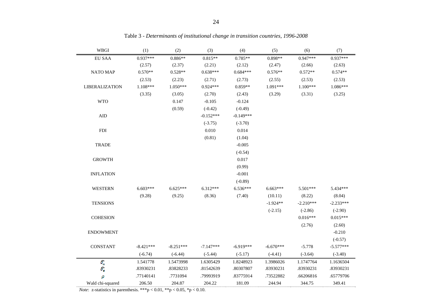| <b>WBGI</b>           | (1)         | (2)         | (3)         | (4)         | (5)         | (6)         | (7)         |
|-----------------------|-------------|-------------|-------------|-------------|-------------|-------------|-------------|
| <b>EU SAA</b>         | 0.937***    | $0.886**$   | $0.815**$   | $0.785**$   | $0.898**$   | $0.947***$  | 0.937***    |
|                       | (2.57)      | (2.37)      | (2.21)      | (2.12)      | (2.47)      | (2.66)      | (2.63)      |
| <b>NATO MAP</b>       | $0.570**$   | $0.528**$   | $0.638***$  | $0.684***$  | $0.576**$   | $0.572**$   | $0.574**$   |
|                       | (2.53)      | (2.23)      | (2.71)      | (2.73)      | (2.55)      | (2.53)      | (2.53)      |
| <b>LIBERALIZATION</b> | $1.108***$  | $1.050***$  | $0.924***$  | $0.859**$   | 1.091***    | $1.100***$  | $1.086***$  |
|                       | (3.35)      | (3.05)      | (2.70)      | (2.43)      | (3.29)      | (3.31)      | (3.25)      |
| <b>WTO</b>            |             | 0.147       | $-0.105$    | $-0.124$    |             |             |             |
|                       |             | (0.59)      | $(-0.42)$   | $(-0.49)$   |             |             |             |
| <b>AID</b>            |             |             | $-0.152***$ | $-0.149***$ |             |             |             |
|                       |             |             | $(-3.75)$   | $(-3.70)$   |             |             |             |
| <b>FDI</b>            |             |             | 0.010       | 0.014       |             |             |             |
|                       |             |             | (0.81)      | (1.04)      |             |             |             |
| <b>TRADE</b>          |             |             |             | $-0.005$    |             |             |             |
|                       |             |             |             | $(-0.54)$   |             |             |             |
| <b>GROWTH</b>         |             |             |             | 0.017       |             |             |             |
|                       |             |             |             | (0.99)      |             |             |             |
| <b>INFLATION</b>      |             |             |             | $-0.001$    |             |             |             |
|                       |             |             |             | $(-0.89)$   |             |             |             |
| <b>WESTERN</b>        | 6.603***    | $6.625***$  | $6.312***$  | 6.536***    | 6.663***    | 5.501***    | 5.434***    |
|                       | (9.28)      | (9.25)      | (8.36)      | (7.40)      | (10.11)     | (8.22)      | (8.04)      |
| <b>TENSIONS</b>       |             |             |             |             | $-1.924**$  | $-2.210***$ | $-2.233***$ |
|                       |             |             |             |             | $(-2.15)$   | $(-2.86)$   | $(-2.90)$   |
| <b>COHESION</b>       |             |             |             |             |             | $0.016***$  | $0.015***$  |
|                       |             |             |             |             |             | (2.76)      | (2.60)      |
| <b>ENDOWMENT</b>      |             |             |             |             |             |             | $-0.210$    |
|                       |             |             |             |             |             |             | $(-0.57)$   |
| <b>CONSTANT</b>       | $-8.421***$ | $-8.251***$ | $-7.147***$ | $-6.919***$ | $-6.670***$ | $-5.778$    | $-5.577***$ |
|                       | $(-6.74)$   | $(-6.44)$   | $(-5.44)$   | $(-5.17)$   | $(-4.41)$   | $(-3.64)$   | $(-3.40)$   |
| $\sigma_{_{\!M}}$     | 1.541778    | 1.5473998   | 1.6305429   | 1.8248923   | 1.3986026   | 1.1747764   | 1.1636504   |
| $\hat{\sigma_c}$      | .83930231   | .83828233   | .81542639   | .80307807   | .83930231   | .83930231   | .83930231   |
| ρ                     | .77140141   | .7731094    | .79993919   | .83775914   | .73522882   | .66206816   | .65779706   |
| Wald chi-squared      | 206.50      | 204.87      | 204.22      | 181.09      | 244.94      | 344.75      | 349.41      |

Table 3 - *Determinants of institutional change in transition countries, 1996-2008*

*Note*: z-statistics in parenthesis. \*\*\*p < 0.01, \*\*p < 0.05, \*p < 0.10.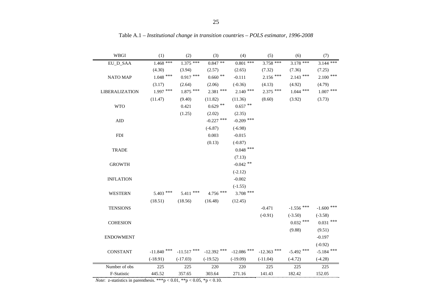| <b>WBGI</b>           | (1)           | (2)           | (3)           | (4)           | (5)           | (6)          | (7)          |
|-----------------------|---------------|---------------|---------------|---------------|---------------|--------------|--------------|
| EU_D_SAA              | $1.468$ ***   | $1.375$ ***   | $0.847**$     | $0.801$ ***   | $3.758$ ***   | $3.178$ ***  | $3.144$ ***  |
|                       | (4.30)        | (3.94)        | (2.57)        | (2.65)        | (7.32)        | (7.36)       | (7.25)       |
| <b>NATO MAP</b>       | $1.048$ ***   | $0.917$ ***   | $0.660$ **    | $-0.111$      | $2.156$ ***   | $2.143$ ***  | $2.100$ ***  |
|                       | (3.17)        | (2.64)        | (2.06)        | $(-0.36)$     | (4.13)        | (4.92)       | (4.79)       |
| <b>LIBERALIZATION</b> | $1.997$ ***   | $1.875$ ***   | $2.381$ ***   | $2.140$ ***   | $2.375$ ***   | $1.044$ ***  | $1.007$ ***  |
|                       | (11.47)       | (9.40)        | (11.82)       | (11.36)       | (8.60)        | (3.92)       | (3.73)       |
| <b>WTO</b>            |               | 0.421         | $0.629$ **    | $0.657$ **    |               |              |              |
|                       |               | (1.25)        | (2.02)        | (2.35)        |               |              |              |
| AID                   |               |               | $-0.227$ ***  | $-0.209$ ***  |               |              |              |
|                       |               |               | $(-6.87)$     | $(-6.98)$     |               |              |              |
| <b>FDI</b>            |               |               | 0.003         | $-0.015$      |               |              |              |
|                       |               |               | (0.13)        | $(-0.87)$     |               |              |              |
| <b>TRADE</b>          |               |               |               | $0.048$ ***   |               |              |              |
|                       |               |               |               | (7.13)        |               |              |              |
| <b>GROWTH</b>         |               |               |               | $-0.042$ **   |               |              |              |
|                       |               |               |               | $(-2.12)$     |               |              |              |
| <b>INFLATION</b>      |               |               |               | $-0.002$      |               |              |              |
|                       |               |               |               | $(-1.55)$     |               |              |              |
| <b>WESTERN</b>        | $5.403$ ***   | 5.411 ***     | 4.756 ***     | 3.708 ***     |               |              |              |
|                       | (18.51)       | (18.56)       | (16.48)       | (12.45)       |               |              |              |
| <b>TENSIONS</b>       |               |               |               |               | $-0.471$      | $-1.556$ *** | $-1.600$ *** |
|                       |               |               |               |               | $(-0.91)$     | $(-3.50)$    | $(-3.58)$    |
| <b>COHESION</b>       |               |               |               |               |               | $0.032$ ***  | $0.031$ ***  |
|                       |               |               |               |               |               | (9.88)       | (9.51)       |
| <b>ENDOWMENT</b>      |               |               |               |               |               |              | $-0.197$     |
|                       |               |               |               |               |               |              | $(-0.92)$    |
| <b>CONSTANT</b>       | $-11.840$ *** | $-11.517$ *** | $-12.392$ *** | $-12.086$ *** | $-12.363$ *** | $-5.492$ *** | $-5.184$ *** |
|                       | $(-18.91)$    | $(-17.03)$    | $(-19.52)$    | $(-19.09)$    | $(-11.04)$    | $(-4.72)$    | $(-4.28)$    |
| Number of obs         | 225           | 225           | 220           | 220           | 225           | 225          | 225          |
| F-Statistic           | 445.52        | 357.65        | 303.64        | 271.16        | 141.43        | 182.42       | 152.05       |

Table A.1 – *Institutional change in transition countries – POLS estimator, 1996-2008* 

*Note:* z-statistics in parenthesis. \*\*\*p < 0.01, \*\*p < 0.05, \*p < 0.10.